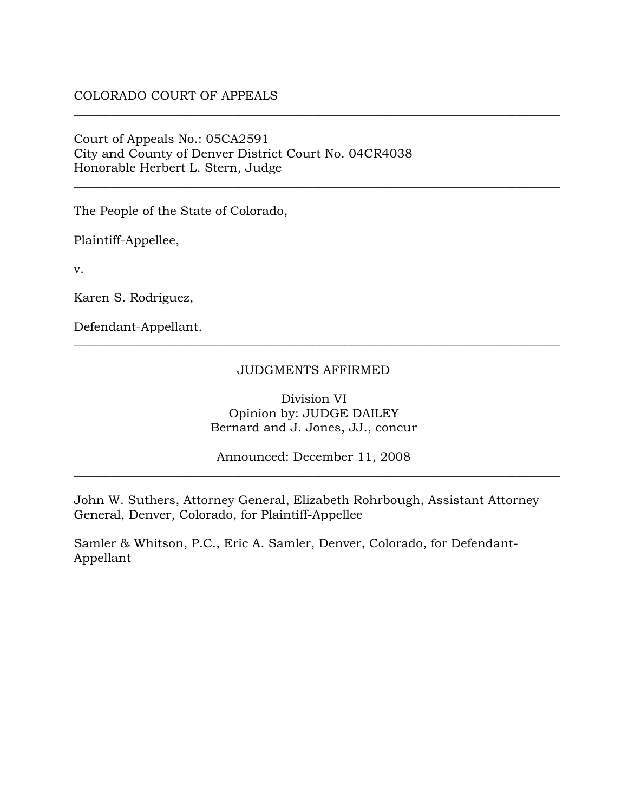## COLORADO COURT OF APPEALS

Court of Appeals No.: 05CA2591 City and County of Denver District Court No. 04CR4038 Honorable Herbert L. Stern, Judge

The People of the State of Colorado,

Plaintiff-Appellee,

v.

Karen S. Rodriguez,

Defendant-Appellant.

#### JUDGMENTS AFFIRMED

\_\_\_\_\_\_\_\_\_\_\_\_\_\_\_\_\_\_\_\_\_\_\_\_\_\_\_\_\_\_\_\_\_\_\_\_\_\_\_\_\_\_\_\_\_\_\_\_\_\_\_\_\_\_\_\_\_\_\_\_\_\_\_\_\_\_\_\_\_\_\_\_\_\_\_\_\_\_\_

\_\_\_\_\_\_\_\_\_\_\_\_\_\_\_\_\_\_\_\_\_\_\_\_\_\_\_\_\_\_\_\_\_\_\_\_\_\_\_\_\_\_\_\_\_\_\_\_\_\_\_\_\_\_\_\_\_\_\_\_\_\_\_\_\_\_\_\_\_\_\_\_\_\_\_\_\_\_\_

\_\_\_\_\_\_\_\_\_\_\_\_\_\_\_\_\_\_\_\_\_\_\_\_\_\_\_\_\_\_\_\_\_\_\_\_\_\_\_\_\_\_\_\_\_\_\_\_\_\_\_\_\_\_\_\_\_\_\_\_\_\_\_\_\_\_\_\_\_\_\_\_\_\_\_\_\_\_\_

Division VI Opinion by: JUDGE DAILEY Bernard and J. Jones, JJ., concur

Announced: December 11, 2008 \_\_\_\_\_\_\_\_\_\_\_\_\_\_\_\_\_\_\_\_\_\_\_\_\_\_\_\_\_\_\_\_\_\_\_\_\_\_\_\_\_\_\_\_\_\_\_\_\_\_\_\_\_\_\_\_\_\_\_\_\_\_\_\_\_\_\_\_\_\_\_\_\_\_\_\_\_\_\_

John W. Suthers, Attorney General, Elizabeth Rohrbough, Assistant Attorney General, Denver, Colorado, for Plaintiff-Appellee

Samler & Whitson, P.C., Eric A. Samler, Denver, Colorado, for Defendant-Appellant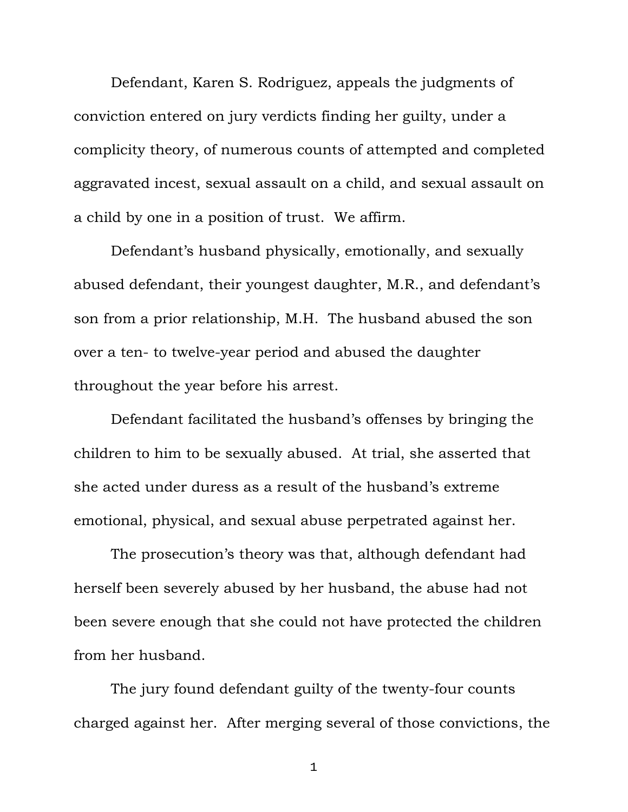Defendant, Karen S. Rodriguez, appeals the judgments of conviction entered on jury verdicts finding her guilty, under a complicity theory, of numerous counts of attempted and completed aggravated incest, sexual assault on a child, and sexual assault on a child by one in a position of trust. We affirm.

Defendant's husband physically, emotionally, and sexually abused defendant, their youngest daughter, M.R., and defendant's son from a prior relationship, M.H. The husband abused the son over a ten- to twelve-year period and abused the daughter throughout the year before his arrest.

Defendant facilitated the husband's offenses by bringing the children to him to be sexually abused. At trial, she asserted that she acted under duress as a result of the husband's extreme emotional, physical, and sexual abuse perpetrated against her.

The prosecution's theory was that, although defendant had herself been severely abused by her husband, the abuse had not been severe enough that she could not have protected the children from her husband.

The jury found defendant guilty of the twenty-four counts charged against her. After merging several of those convictions, the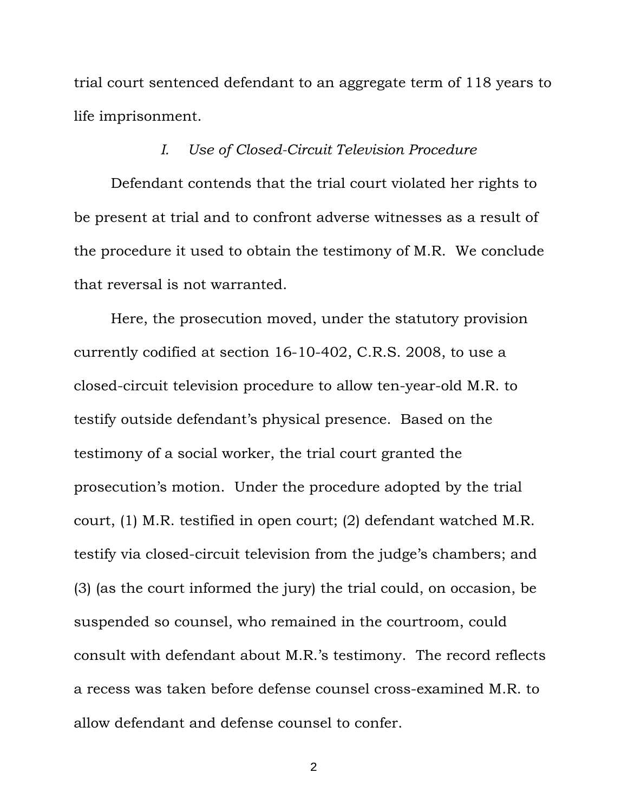trial court sentenced defendant to an aggregate term of 118 years to life imprisonment.

## *I. Use of Closed-Circuit Television Procedure*

Defendant contends that the trial court violated her rights to be present at trial and to confront adverse witnesses as a result of the procedure it used to obtain the testimony of M.R. We conclude that reversal is not warranted.

Here, the prosecution moved, under the statutory provision currently codified at section 16-10-402, C.R.S. 2008, to use a closed-circuit television procedure to allow ten-year-old M.R. to testify outside defendant's physical presence. Based on the testimony of a social worker, the trial court granted the prosecution's motion. Under the procedure adopted by the trial court, (1) M.R. testified in open court; (2) defendant watched M.R. testify via closed-circuit television from the judge's chambers; and (3) (as the court informed the jury) the trial could, on occasion, be suspended so counsel, who remained in the courtroom, could consult with defendant about M.R.'s testimony. The record reflects a recess was taken before defense counsel cross-examined M.R. to allow defendant and defense counsel to confer.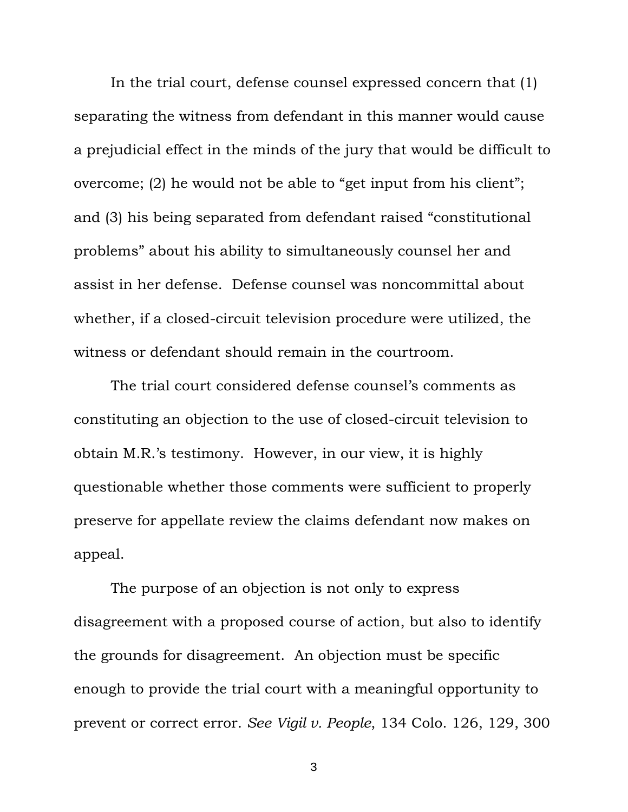In the trial court, defense counsel expressed concern that (1) separating the witness from defendant in this manner would cause a prejudicial effect in the minds of the jury that would be difficult to overcome; (2) he would not be able to "get input from his client"; and (3) his being separated from defendant raised "constitutional problems" about his ability to simultaneously counsel her and assist in her defense. Defense counsel was noncommittal about whether, if a closed-circuit television procedure were utilized, the witness or defendant should remain in the courtroom.

The trial court considered defense counsel's comments as constituting an objection to the use of closed-circuit television to obtain M.R.'s testimony. However, in our view, it is highly questionable whether those comments were sufficient to properly preserve for appellate review the claims defendant now makes on appeal.

The purpose of an objection is not only to express disagreement with a proposed course of action, but also to identify the grounds for disagreement. An objection must be specific enough to provide the trial court with a meaningful opportunity to prevent or correct error. *See Vigil v. People*, 134 Colo. 126, 129, 300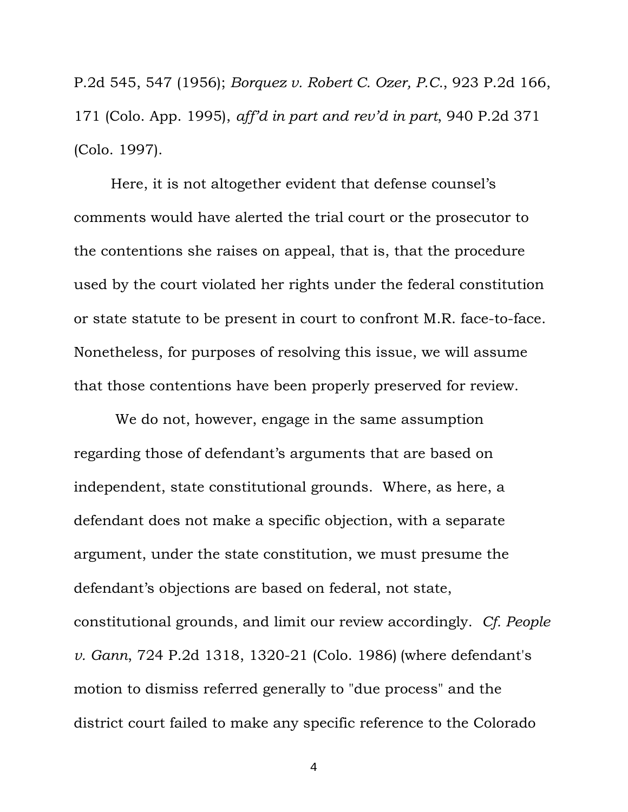P.2d 545, 547 (1956); *Borquez v. Robert C. Ozer, P.C.*, 923 P.2d 166, 171 (Colo. App. 1995), *aff'd in part and rev'd in part*, 940 P.2d 371 (Colo. 1997).

Here, it is not altogether evident that defense counsel's comments would have alerted the trial court or the prosecutor to the contentions she raises on appeal, that is, that the procedure used by the court violated her rights under the federal constitution or state statute to be present in court to confront M.R. face-to-face. Nonetheless, for purposes of resolving this issue, we will assume that those contentions have been properly preserved for review.

 We do not, however, engage in the same assumption regarding those of defendant's arguments that are based on independent, state constitutional grounds. Where, as here, a defendant does not make a specific objection, with a separate argument, under the state constitution, we must presume the defendant's objections are based on federal, not state, constitutional grounds, and limit our review accordingly. *Cf. People v. Gann*, 724 P.2d 1318, 1320-21 (Colo. 1986) (where defendant's motion to dismiss referred generally to "due process" and the district court failed to make any specific reference to the Colorado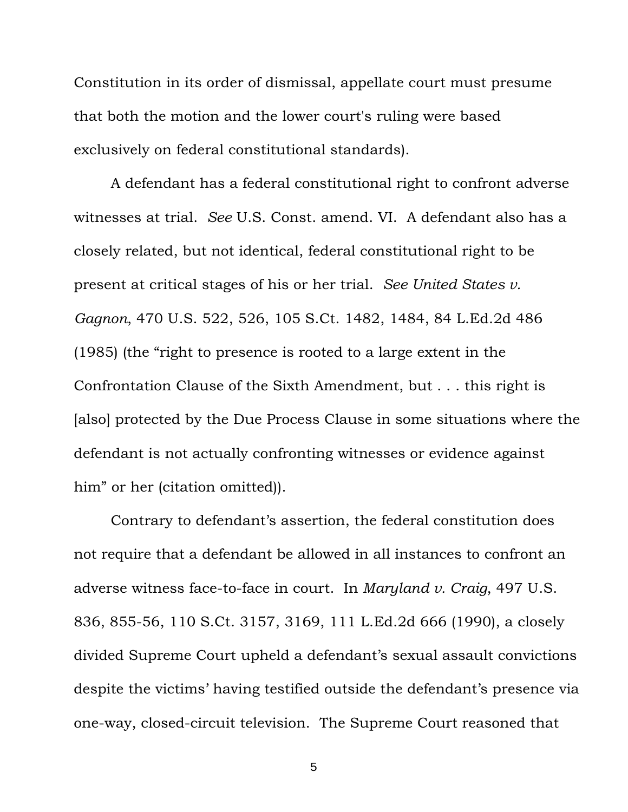Constitution in its order of dismissal, appellate court must presume that both the motion and the lower court's ruling were based exclusively on federal constitutional standards).

A defendant has a federal constitutional right to confront adverse witnesses at trial. *See* U.S. Const. amend. VI. A defendant also has a closely related, but not identical, federal constitutional right to be present at critical stages of his or her trial. *See United States v. Gagnon*, 470 U.S. 522, 526, 105 S.Ct. 1482, 1484, 84 L.Ed.2d 486 (1985) (the "right to presence is rooted to a large extent in the Confrontation Clause of the Sixth Amendment, but . . . this right is [also] protected by the Due Process Clause in some situations where the defendant is not actually confronting witnesses or evidence against him" or her (citation omitted)).

Contrary to defendant's assertion, the federal constitution does not require that a defendant be allowed in all instances to confront an adverse witness face-to-face in court. In *Maryland v. Craig*, 497 U.S. 836, 855-56, 110 S.Ct. 3157, 3169, 111 L.Ed.2d 666 (1990), a closely divided Supreme Court upheld a defendant's sexual assault convictions despite the victims' having testified outside the defendant's presence via one-way, closed-circuit television. The Supreme Court reasoned that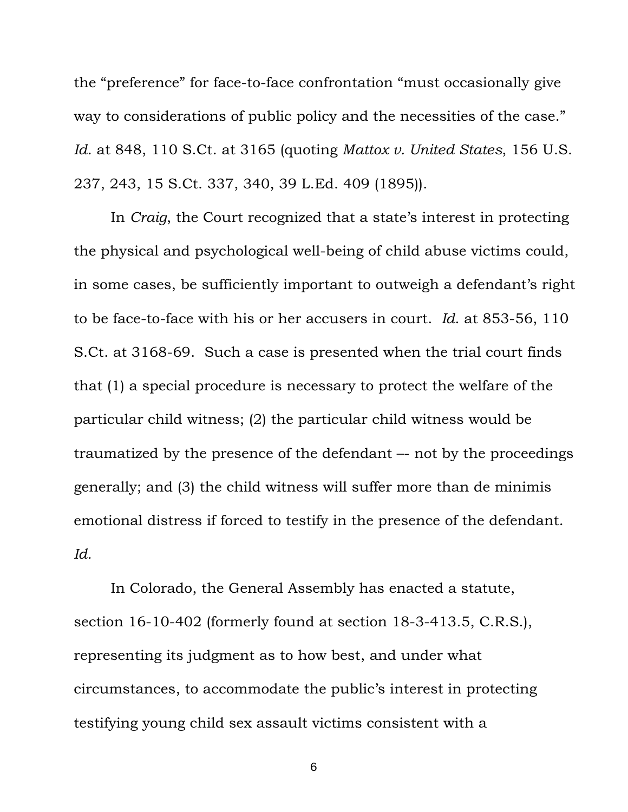the "preference" for face-to-face confrontation "must occasionally give way to considerations of public policy and the necessities of the case." *Id*. at 848, 110 S.Ct. at 3165 (quoting *Mattox v. United States*, 156 U.S. 237, 243, 15 S.Ct. 337, 340, 39 L.Ed. 409 (1895)).

In *Craig*, the Court recognized that a state's interest in protecting the physical and psychological well-being of child abuse victims could, in some cases, be sufficiently important to outweigh a defendant's right to be face-to-face with his or her accusers in court. *Id*. at 853-56, 110 S.Ct. at 3168-69. Such a case is presented when the trial court finds that (1) a special procedure is necessary to protect the welfare of the particular child witness; (2) the particular child witness would be traumatized by the presence of the defendant –- not by the proceedings generally; and (3) the child witness will suffer more than de minimis emotional distress if forced to testify in the presence of the defendant. *Id.*

In Colorado, the General Assembly has enacted a statute, section 16-10-402 (formerly found at section 18-3-413.5, C.R.S.), representing its judgment as to how best, and under what circumstances, to accommodate the public's interest in protecting testifying young child sex assault victims consistent with a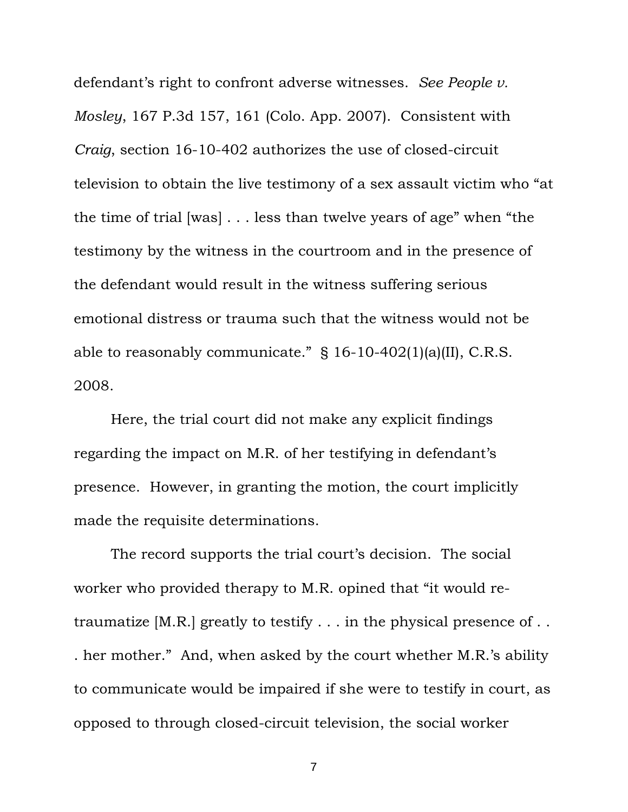defendant's right to confront adverse witnesses. *See People v. Mosley*, 167 P.3d 157, 161 (Colo. App. 2007). Consistent with *Craig*, section 16-10-402 authorizes the use of closed-circuit television to obtain the live testimony of a sex assault victim who "at the time of trial [was] . . . less than twelve years of age" when "the testimony by the witness in the courtroom and in the presence of the defendant would result in the witness suffering serious emotional distress or trauma such that the witness would not be able to reasonably communicate." § 16-10-402(1)(a)(II), C.R.S. 2008.

Here, the trial court did not make any explicit findings regarding the impact on M.R. of her testifying in defendant's presence. However, in granting the motion, the court implicitly made the requisite determinations.

The record supports the trial court's decision. The social worker who provided therapy to M.R. opined that "it would retraumatize [M.R.] greatly to testify . . . in the physical presence of . . . her mother." And, when asked by the court whether M.R.'s ability to communicate would be impaired if she were to testify in court, as opposed to through closed-circuit television, the social worker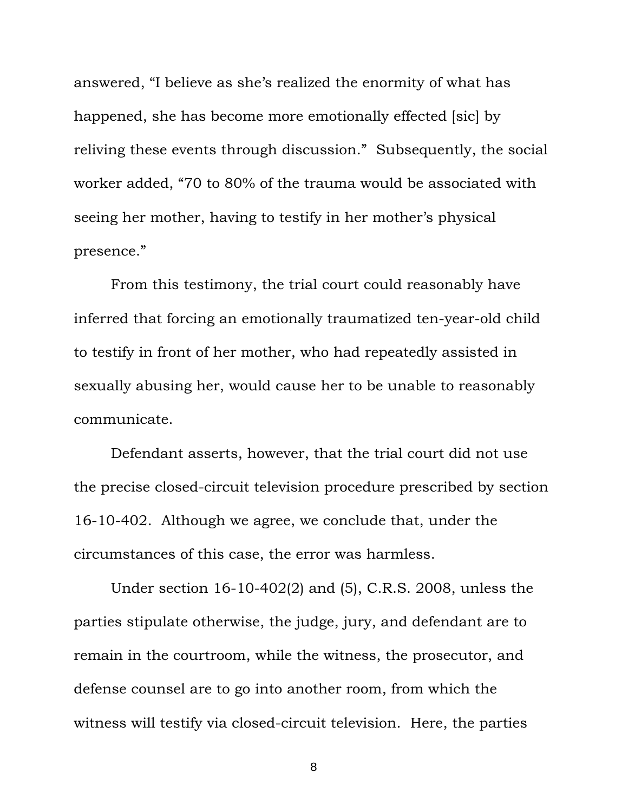answered, "I believe as she's realized the enormity of what has happened, she has become more emotionally effected [sic] by reliving these events through discussion." Subsequently, the social worker added, "70 to 80% of the trauma would be associated with seeing her mother, having to testify in her mother's physical presence."

From this testimony, the trial court could reasonably have inferred that forcing an emotionally traumatized ten-year-old child to testify in front of her mother, who had repeatedly assisted in sexually abusing her, would cause her to be unable to reasonably communicate.

Defendant asserts, however, that the trial court did not use the precise closed-circuit television procedure prescribed by section 16-10-402. Although we agree, we conclude that, under the circumstances of this case, the error was harmless.

Under section 16-10-402(2) and (5), C.R.S. 2008, unless the parties stipulate otherwise, the judge, jury, and defendant are to remain in the courtroom, while the witness, the prosecutor, and defense counsel are to go into another room, from which the witness will testify via closed-circuit television. Here, the parties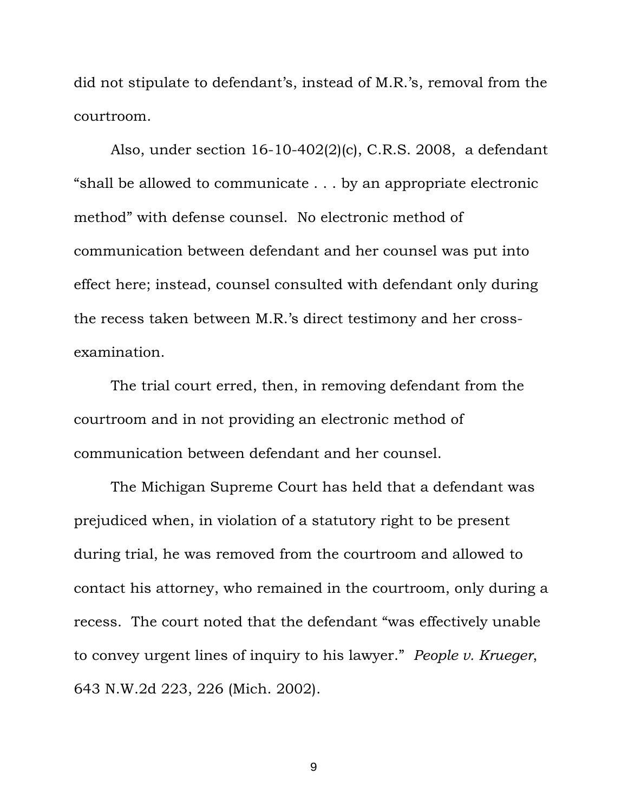did not stipulate to defendant's, instead of M.R.'s, removal from the courtroom.

Also, under section 16-10-402(2)(c), C.R.S. 2008, a defendant "shall be allowed to communicate . . . by an appropriate electronic method" with defense counsel. No electronic method of communication between defendant and her counsel was put into effect here; instead, counsel consulted with defendant only during the recess taken between M.R.'s direct testimony and her crossexamination.

The trial court erred, then, in removing defendant from the courtroom and in not providing an electronic method of communication between defendant and her counsel.

The Michigan Supreme Court has held that a defendant was prejudiced when, in violation of a statutory right to be present during trial, he was removed from the courtroom and allowed to contact his attorney, who remained in the courtroom, only during a recess. The court noted that the defendant "was effectively unable to convey urgent lines of inquiry to his lawyer." *People v. Krueger*, 643 N.W.2d 223, 226 (Mich. 2002).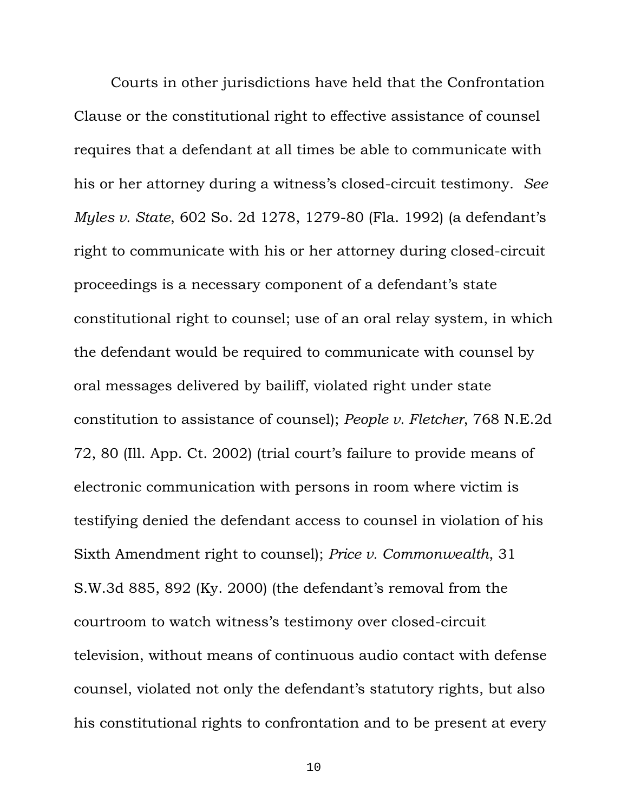Courts in other jurisdictions have held that the Confrontation Clause or the constitutional right to effective assistance of counsel requires that a defendant at all times be able to communicate with his or her attorney during a witness's closed-circuit testimony. *See Myles v. State*, 602 So. 2d 1278, 1279-80 (Fla. 1992) (a defendant's right to communicate with his or her attorney during closed-circuit proceedings is a necessary component of a defendant's state constitutional right to counsel; use of an oral relay system, in which the defendant would be required to communicate with counsel by oral messages delivered by bailiff, violated right under state constitution to assistance of counsel); *People v. Fletcher*, 768 N.E.2d 72, 80 (Ill. App. Ct. 2002) (trial court's failure to provide means of electronic communication with persons in room where victim is testifying denied the defendant access to counsel in violation of his Sixth Amendment right to counsel); *Price v. Commonwealth*, 31 S.W.3d 885, 892 (Ky. 2000) (the defendant's removal from the courtroom to watch witness's testimony over closed-circuit television, without means of continuous audio contact with defense counsel, violated not only the defendant's statutory rights, but also his constitutional rights to confrontation and to be present at every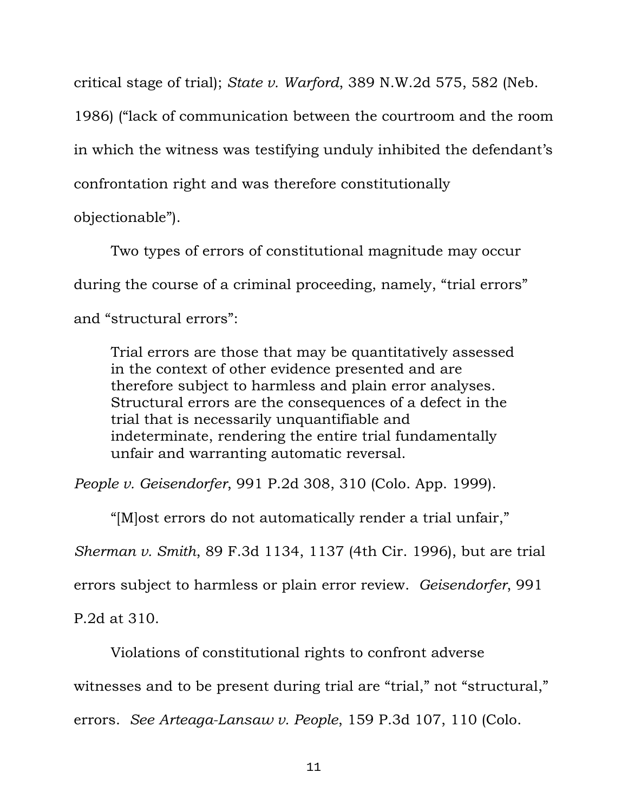critical stage of trial); *State v. Warford*, 389 N.W.2d 575, 582 (Neb.

1986) ("lack of communication between the courtroom and the room in which the witness was testifying unduly inhibited the defendant's confrontation right and was therefore constitutionally

objectionable").

Two types of errors of constitutional magnitude may occur during the course of a criminal proceeding, namely, "trial errors" and "structural errors":

Trial errors are those that may be quantitatively assessed in the context of other evidence presented and are therefore subject to harmless and plain error analyses. Structural errors are the consequences of a defect in the trial that is necessarily unquantifiable and indeterminate, rendering the entire trial fundamentally unfair and warranting automatic reversal.

*People v. Geisendorfer*, 991 P.2d 308, 310 (Colo. App. 1999).

"[M]ost errors do not automatically render a trial unfair," *Sherman v. Smith*, 89 F.3d 1134, 1137 (4th Cir. 1996), but are trial errors subject to harmless or plain error review. *Geisendorfer*, 991 P.2d at 310.

Violations of constitutional rights to confront adverse

witnesses and to be present during trial are "trial," not "structural,"

errors. *See Arteaga-Lansaw v. People*, 159 P.3d 107, 110 (Colo.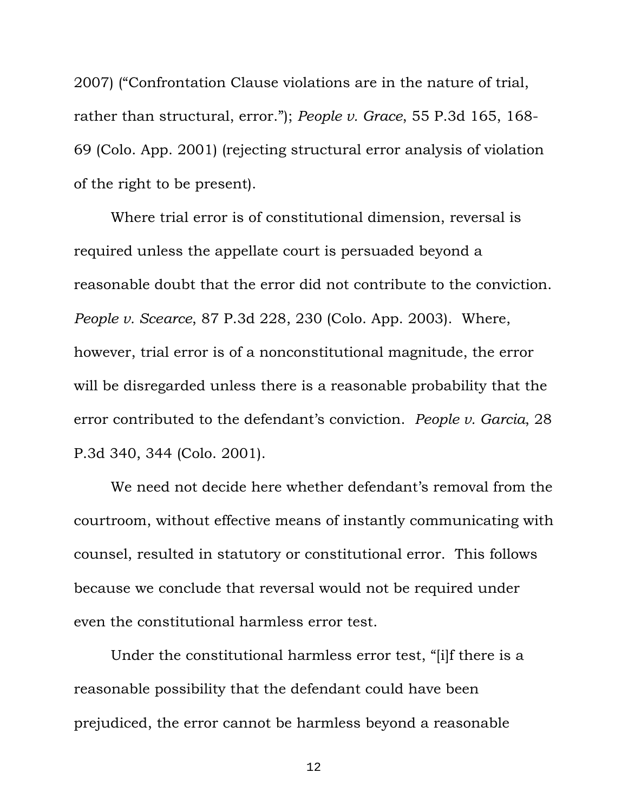2007) ("Confrontation Clause violations are in the nature of trial, rather than structural, error."); *People v. Grace*, 55 P.3d 165, 168- 69 (Colo. App. 2001) (rejecting structural error analysis of violation of the right to be present).

Where trial error is of constitutional dimension, reversal is required unless the appellate court is persuaded beyond a reasonable doubt that the error did not contribute to the conviction. *People v. Scearce*, 87 P.3d 228, 230 (Colo. App. 2003). Where, however, trial error is of a nonconstitutional magnitude, the error will be disregarded unless there is a reasonable probability that the error contributed to the defendant's conviction. *People v. Garcia*, 28 P.3d 340, 344 (Colo. 2001).

We need not decide here whether defendant's removal from the courtroom, without effective means of instantly communicating with counsel, resulted in statutory or constitutional error. This follows because we conclude that reversal would not be required under even the constitutional harmless error test.

Under the constitutional harmless error test, "[i]f there is a reasonable possibility that the defendant could have been prejudiced, the error cannot be harmless beyond a reasonable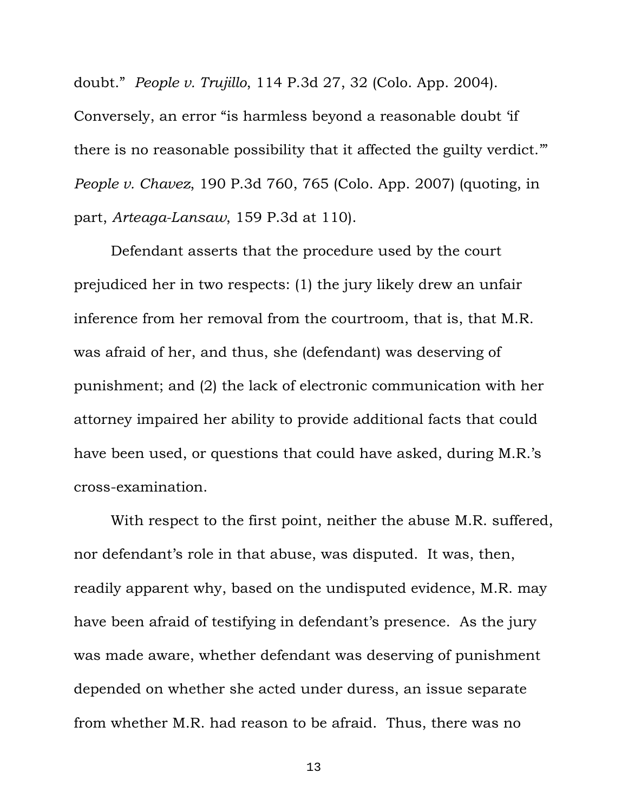doubt." *People v. Trujillo*, 114 P.3d 27, 32 (Colo. App. 2004). Conversely, an error "is harmless beyond a reasonable doubt 'if there is no reasonable possibility that it affected the guilty verdict.'" *People v. Chavez*, 190 P.3d 760, 765 (Colo. App. 2007) (quoting, in part, *Arteaga-Lansaw*, 159 P.3d at 110).

Defendant asserts that the procedure used by the court prejudiced her in two respects: (1) the jury likely drew an unfair inference from her removal from the courtroom, that is, that M.R. was afraid of her, and thus, she (defendant) was deserving of punishment; and (2) the lack of electronic communication with her attorney impaired her ability to provide additional facts that could have been used, or questions that could have asked, during M.R.'s cross-examination.

With respect to the first point, neither the abuse M.R. suffered, nor defendant's role in that abuse, was disputed. It was, then, readily apparent why, based on the undisputed evidence, M.R. may have been afraid of testifying in defendant's presence. As the jury was made aware, whether defendant was deserving of punishment depended on whether she acted under duress, an issue separate from whether M.R. had reason to be afraid. Thus, there was no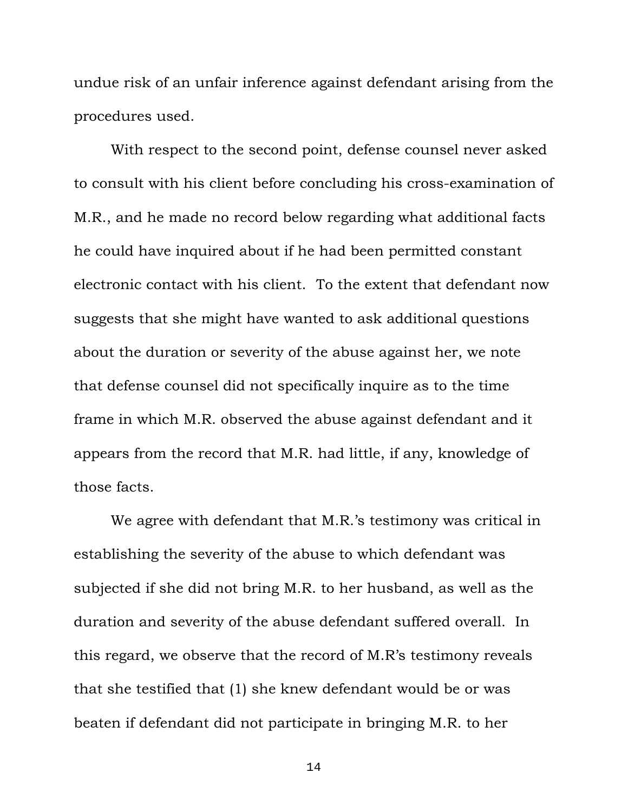undue risk of an unfair inference against defendant arising from the procedures used.

With respect to the second point, defense counsel never asked to consult with his client before concluding his cross-examination of M.R., and he made no record below regarding what additional facts he could have inquired about if he had been permitted constant electronic contact with his client.To the extent that defendant now suggests that she might have wanted to ask additional questions about the duration or severity of the abuse against her, we note that defense counsel did not specifically inquire as to the time frame in which M.R. observed the abuse against defendant and it appears from the record that M.R. had little, if any, knowledge of those facts.

We agree with defendant that M.R.'s testimony was critical in establishing the severity of the abuse to which defendant was subjected if she did not bring M.R. to her husband, as well as the duration and severity of the abuse defendant suffered overall. In this regard, we observe that the record of M.R's testimony reveals that she testified that (1) she knew defendant would be or was beaten if defendant did not participate in bringing M.R. to her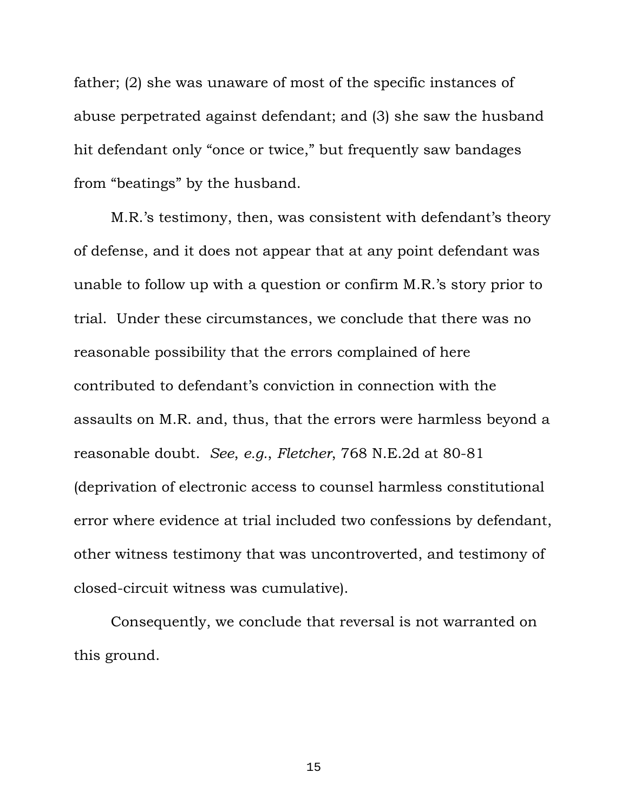father; (2) she was unaware of most of the specific instances of abuse perpetrated against defendant; and (3) she saw the husband hit defendant only "once or twice," but frequently saw bandages from "beatings" by the husband.

M.R.'s testimony, then, was consistent with defendant's theory of defense, and it does not appear that at any point defendant was unable to follow up with a question or confirm M.R.'s story prior to trial. Under these circumstances, we conclude that there was no reasonable possibility that the errors complained of here contributed to defendant's conviction in connection with the assaults on M.R. and, thus, that the errors were harmless beyond a reasonable doubt. *See*, *e.g.*, *Fletcher*, 768 N.E.2d at 80-81 (deprivation of electronic access to counsel harmless constitutional error where evidence at trial included two confessions by defendant, other witness testimony that was uncontroverted, and testimony of closed-circuit witness was cumulative).

Consequently, we conclude that reversal is not warranted on this ground.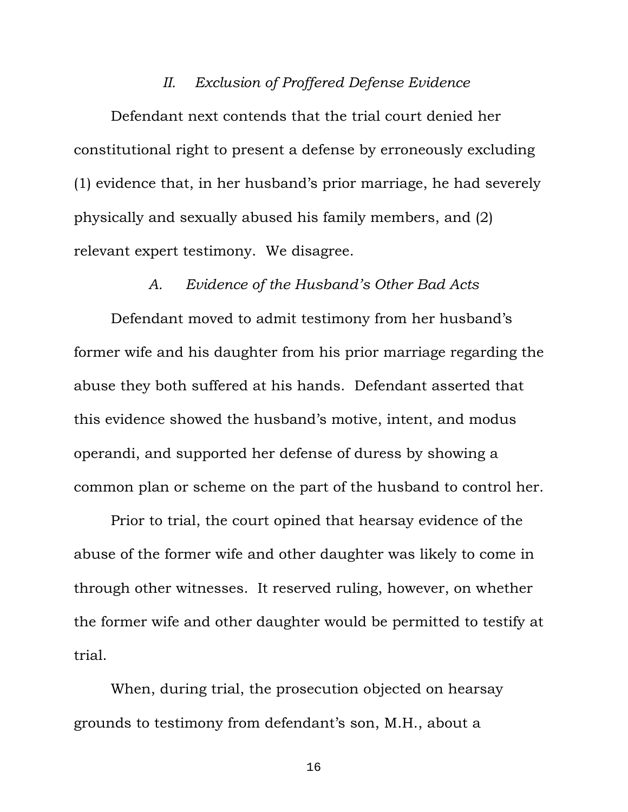# *II. Exclusion of Proffered Defense Evidence*

Defendant next contends that the trial court denied her constitutional right to present a defense by erroneously excluding (1) evidence that, in her husband's prior marriage, he had severely physically and sexually abused his family members, and (2) relevant expert testimony. We disagree.

## *A. Evidence of the Husband's Other Bad Acts*

Defendant moved to admit testimony from her husband's former wife and his daughter from his prior marriage regarding the abuse they both suffered at his hands. Defendant asserted that this evidence showed the husband's motive, intent, and modus operandi, and supported her defense of duress by showing a common plan or scheme on the part of the husband to control her.

Prior to trial, the court opined that hearsay evidence of the abuse of the former wife and other daughter was likely to come in through other witnesses. It reserved ruling, however, on whether the former wife and other daughter would be permitted to testify at trial.

When, during trial, the prosecution objected on hearsay grounds to testimony from defendant's son, M.H., about a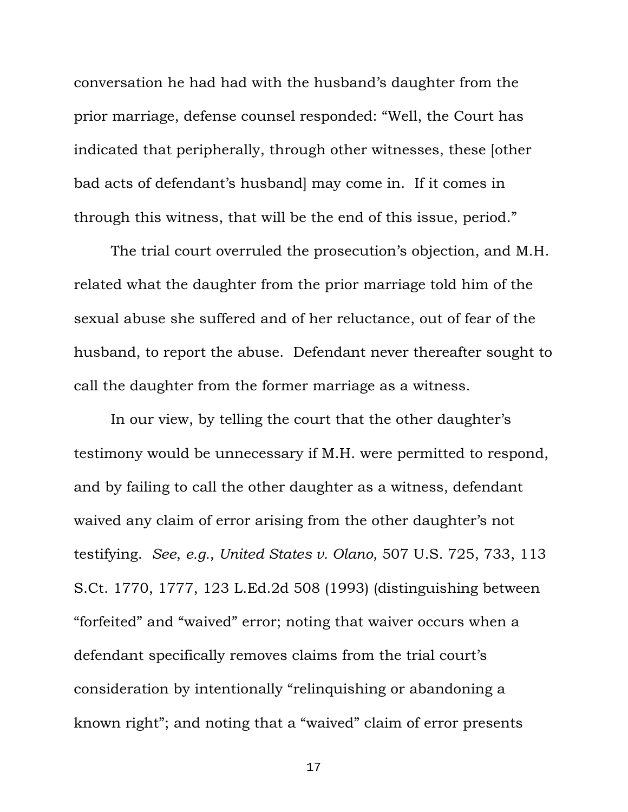conversation he had had with the husband's daughter from the prior marriage, defense counsel responded: "Well, the Court has indicated that peripherally, through other witnesses, these [other bad acts of defendant's husband] may come in. If it comes in through this witness, that will be the end of this issue, period."

The trial court overruled the prosecution's objection, and M.H. related what the daughter from the prior marriage told him of the sexual abuse she suffered and of her reluctance, out of fear of the husband, to report the abuse. Defendant never thereafter sought to call the daughter from the former marriage as a witness.

In our view, by telling the court that the other daughter's testimony would be unnecessary if M.H. were permitted to respond, and by failing to call the other daughter as a witness, defendant waived any claim of error arising from the other daughter's not testifying. *See*, *e.g.*, *United States v. Olano*, 507 U.S. 725, 733, 113 S.Ct. 1770, 1777, 123 L.Ed.2d 508 (1993) (distinguishing between "forfeited" and "waived" error; noting that waiver occurs when a defendant specifically removes claims from the trial court's consideration by intentionally "relinquishing or abandoning a known right"; and noting that a "waived" claim of error presents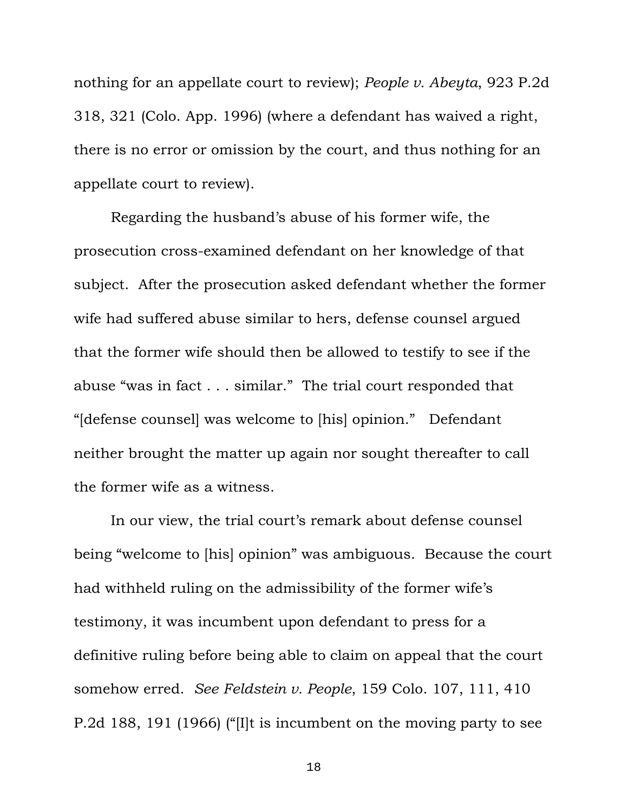nothing for an appellate court to review); *People v. Abeyta*, 923 P.2d 318, 321 (Colo. App. 1996) (where a defendant has waived a right, there is no error or omission by the court, and thus nothing for an appellate court to review).

Regarding the husband's abuse of his former wife, the prosecution cross-examined defendant on her knowledge of that subject. After the prosecution asked defendant whether the former wife had suffered abuse similar to hers, defense counsel argued that the former wife should then be allowed to testify to see if the abuse "was in fact . . . similar." The trial court responded that "[defense counsel] was welcome to [his] opinion." Defendant neither brought the matter up again nor sought thereafter to call the former wife as a witness.

In our view, the trial court's remark about defense counsel being "welcome to [his] opinion" was ambiguous. Because the court had withheld ruling on the admissibility of the former wife's testimony, it was incumbent upon defendant to press for a definitive ruling before being able to claim on appeal that the court somehow erred. *See Feldstein v. People*, 159 Colo. 107, 111, 410 P.2d 188, 191 (1966) ("[I]t is incumbent on the moving party to see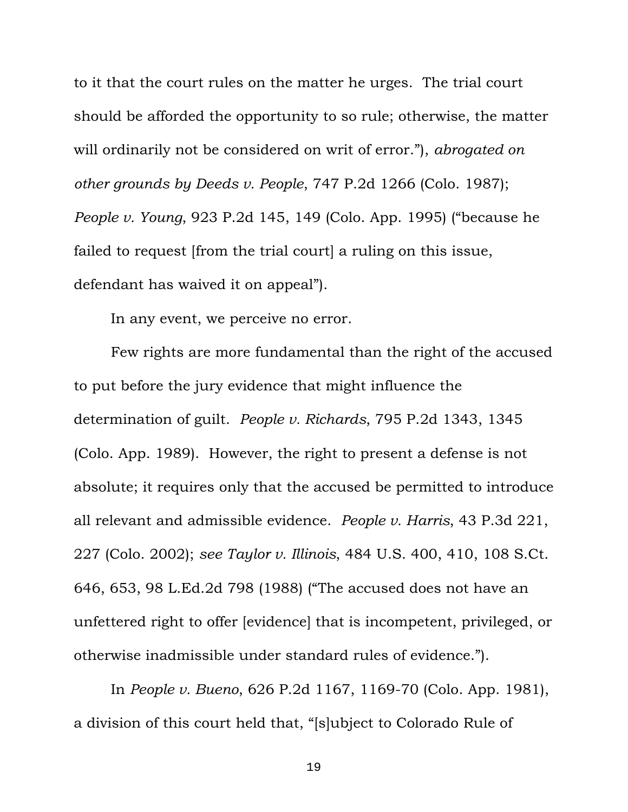to it that the court rules on the matter he urges. The trial court should be afforded the opportunity to so rule; otherwise, the matter will ordinarily not be considered on writ of error."), *abrogated on other grounds by Deeds v. People*, 747 P.2d 1266 (Colo. 1987); *People v. Young*, 923 P.2d 145, 149 (Colo. App. 1995) ("because he failed to request [from the trial court] a ruling on this issue, defendant has waived it on appeal").

In any event, we perceive no error.

Few rights are more fundamental than the right of the accused to put before the jury evidence that might influence the determination of guilt. *People v. Richards*, 795 P.2d 1343, 1345 (Colo. App. 1989). However, the right to present a defense is not absolute; it requires only that the accused be permitted to introduce all relevant and admissible evidence. *People v. Harris*, 43 P.3d 221, 227 (Colo. 2002); *see Taylor v. Illinois*, 484 U.S. 400, 410, 108 S.Ct. 646, 653, 98 L.Ed.2d 798 (1988) ("The accused does not have an unfettered right to offer [evidence] that is incompetent, privileged, or otherwise inadmissible under standard rules of evidence.").

In *People v. Bueno*, 626 P.2d 1167, 1169-70 (Colo. App. 1981), a division of this court held that, "[s]ubject to Colorado Rule of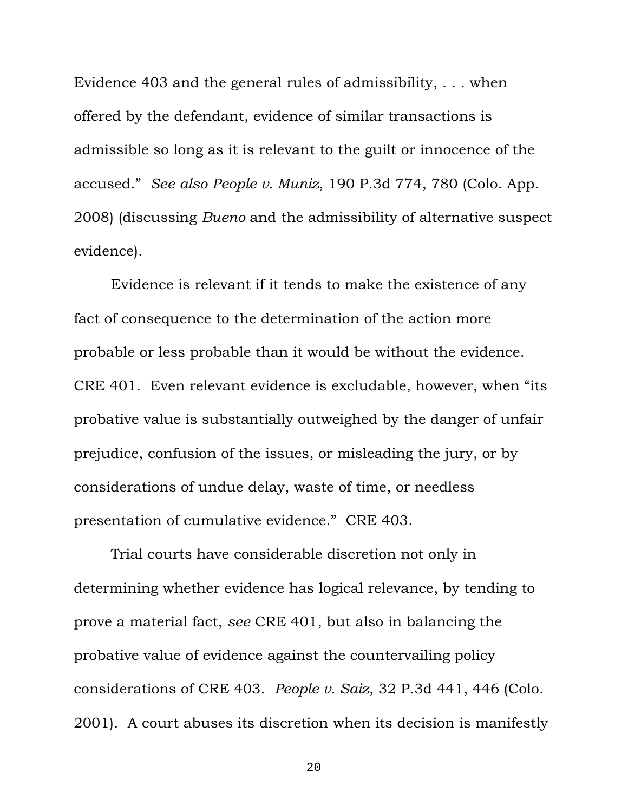Evidence 403 and the general rules of admissibility, . . . when offered by the defendant, evidence of similar transactions is admissible so long as it is relevant to the guilt or innocence of the accused." *See also People v. Muniz*, 190 P.3d 774, 780 (Colo. App. 2008) (discussing *Bueno* and the admissibility of alternative suspect evidence).

Evidence is relevant if it tends to make the existence of any fact of consequence to the determination of the action more probable or less probable than it would be without the evidence. CRE 401. Even relevant evidence is excludable, however, when "its probative value is substantially outweighed by the danger of unfair prejudice, confusion of the issues, or misleading the jury, or by considerations of undue delay, waste of time, or needless presentation of cumulative evidence." CRE 403.

Trial courts have considerable discretion not only in determining whether evidence has logical relevance, by tending to prove a material fact, *see* CRE 401, but also in balancing the probative value of evidence against the countervailing policy considerations of CRE 403. *People v. Saiz*, 32 P.3d 441, 446 (Colo. 2001). A court abuses its discretion when its decision is manifestly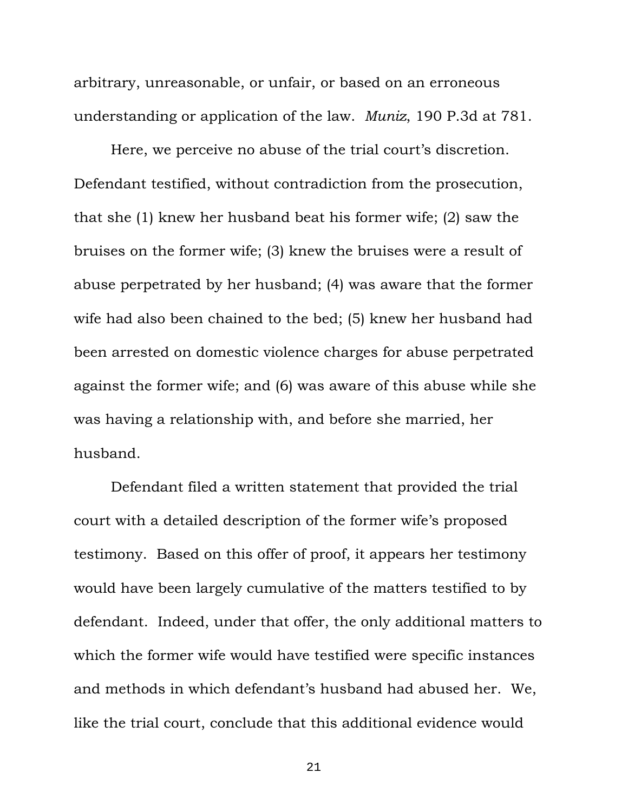arbitrary, unreasonable, or unfair, or based on an erroneous understanding or application of the law. *Muniz*, 190 P.3d at 781.

Here, we perceive no abuse of the trial court's discretion. Defendant testified, without contradiction from the prosecution, that she (1) knew her husband beat his former wife; (2) saw the bruises on the former wife; (3) knew the bruises were a result of abuse perpetrated by her husband; (4) was aware that the former wife had also been chained to the bed; (5) knew her husband had been arrested on domestic violence charges for abuse perpetrated against the former wife; and (6) was aware of this abuse while she was having a relationship with, and before she married, her husband.

Defendant filed a written statement that provided the trial court with a detailed description of the former wife's proposed testimony. Based on this offer of proof, it appears her testimony would have been largely cumulative of the matters testified to by defendant. Indeed, under that offer, the only additional matters to which the former wife would have testified were specific instances and methods in which defendant's husband had abused her. We, like the trial court, conclude that this additional evidence would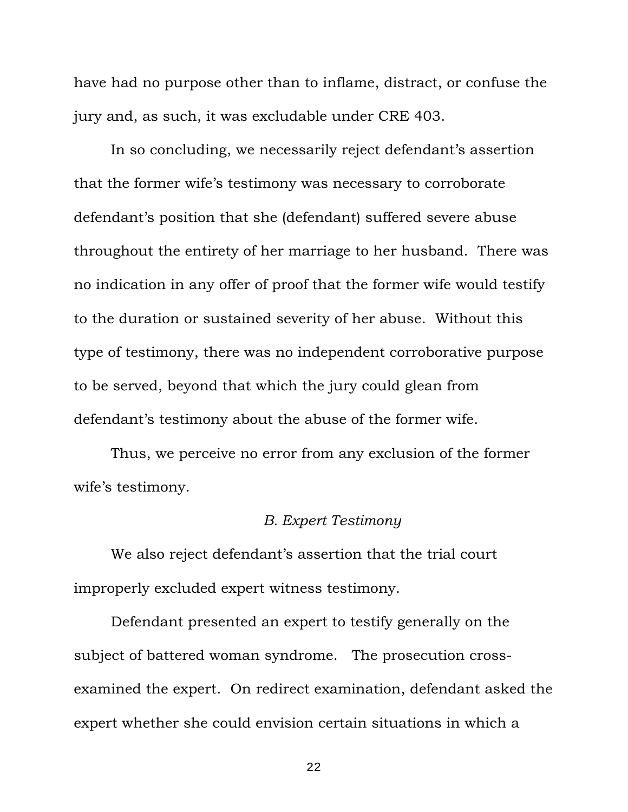have had no purpose other than to inflame, distract, or confuse the jury and, as such, it was excludable under CRE 403.

In so concluding, we necessarily reject defendant's assertion that the former wife's testimony was necessary to corroborate defendant's position that she (defendant) suffered severe abuse throughout the entirety of her marriage to her husband. There was no indication in any offer of proof that the former wife would testify to the duration or sustained severity of her abuse. Without this type of testimony, there was no independent corroborative purpose to be served, beyond that which the jury could glean from defendant's testimony about the abuse of the former wife.

Thus, we perceive no error from any exclusion of the former wife's testimony.

## *B. Expert Testimony*

We also reject defendant's assertion that the trial court improperly excluded expert witness testimony.

Defendant presented an expert to testify generally on the subject of battered woman syndrome. The prosecution crossexamined the expert. On redirect examination, defendant asked the expert whether she could envision certain situations in which a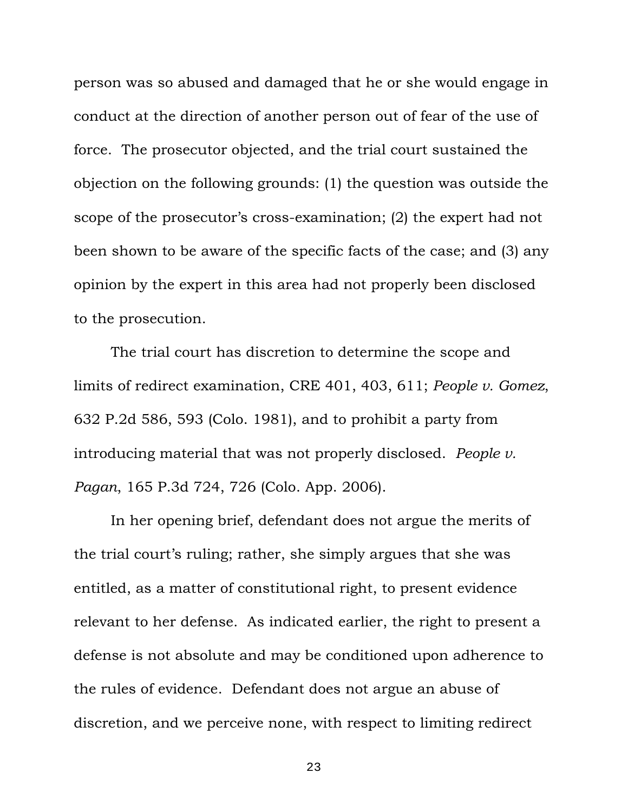person was so abused and damaged that he or she would engage in conduct at the direction of another person out of fear of the use of force. The prosecutor objected, and the trial court sustained the objection on the following grounds: (1) the question was outside the scope of the prosecutor's cross-examination; (2) the expert had not been shown to be aware of the specific facts of the case; and (3) any opinion by the expert in this area had not properly been disclosed to the prosecution.

The trial court has discretion to determine the scope and limits of redirect examination, CRE 401, 403, 611; *People v. Gomez*, 632 P.2d 586, 593 (Colo. 1981), and to prohibit a party from introducing material that was not properly disclosed. *People v. Pagan*, 165 P.3d 724, 726 (Colo. App. 2006).

In her opening brief, defendant does not argue the merits of the trial court's ruling; rather, she simply argues that she was entitled, as a matter of constitutional right, to present evidence relevant to her defense. As indicated earlier, the right to present a defense is not absolute and may be conditioned upon adherence to the rules of evidence. Defendant does not argue an abuse of discretion, and we perceive none, with respect to limiting redirect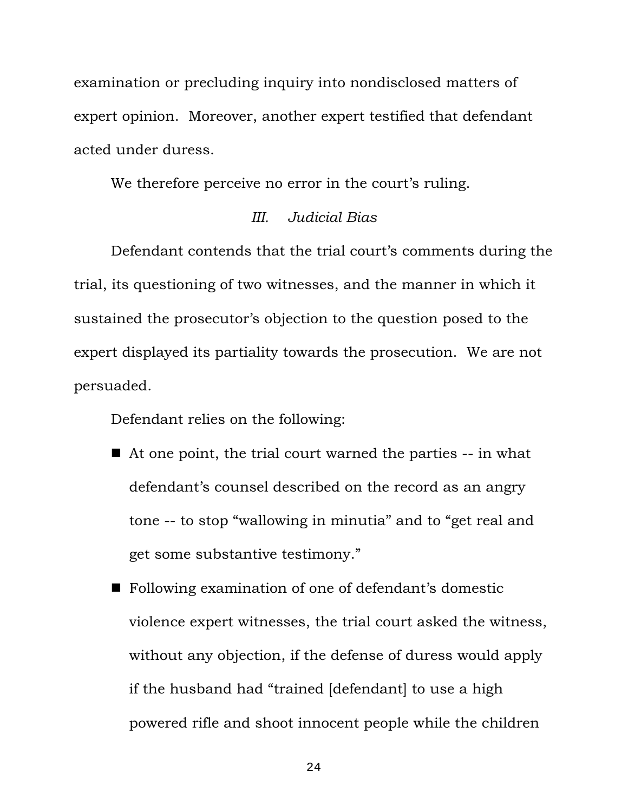examination or precluding inquiry into nondisclosed matters of expert opinion. Moreover, another expert testified that defendant acted under duress.

We therefore perceive no error in the court's ruling.

# *III. Judicial Bias*

Defendant contends that the trial court's comments during the trial, its questioning of two witnesses, and the manner in which it sustained the prosecutor's objection to the question posed to the expert displayed its partiality towards the prosecution. We are not persuaded.

Defendant relies on the following:

- At one point, the trial court warned the parties -- in what defendant's counsel described on the record as an angry tone -- to stop "wallowing in minutia" and to "get real and get some substantive testimony."
- Following examination of one of defendant's domestic violence expert witnesses, the trial court asked the witness, without any objection, if the defense of duress would apply if the husband had "trained [defendant] to use a high powered rifle and shoot innocent people while the children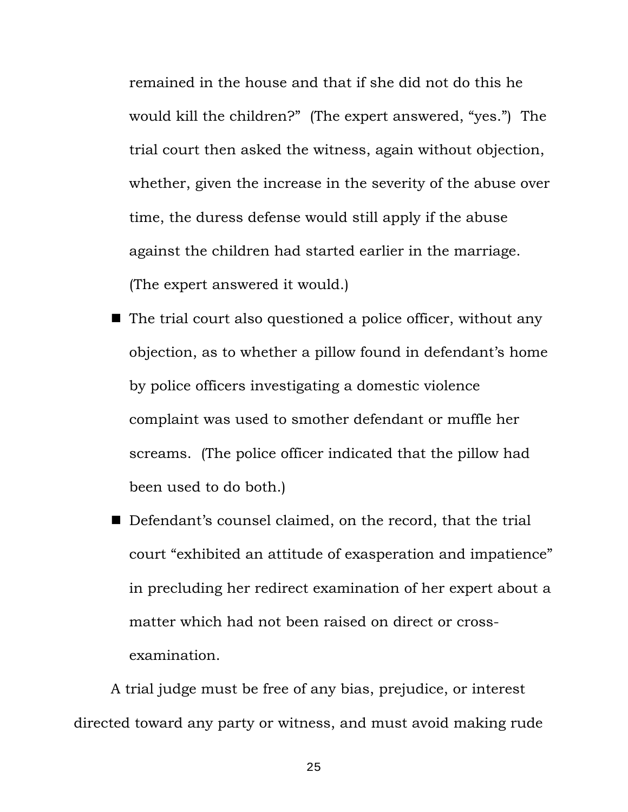remained in the house and that if she did not do this he would kill the children?" (The expert answered, "yes.") The trial court then asked the witness, again without objection, whether, given the increase in the severity of the abuse over time, the duress defense would still apply if the abuse against the children had started earlier in the marriage. (The expert answered it would.)

- $\blacksquare$  The trial court also questioned a police officer, without any objection, as to whether a pillow found in defendant's home by police officers investigating a domestic violence complaint was used to smother defendant or muffle her screams. (The police officer indicated that the pillow had been used to do both.)
- Defendant's counsel claimed, on the record, that the trial court "exhibited an attitude of exasperation and impatience" in precluding her redirect examination of her expert about a matter which had not been raised on direct or crossexamination.

A trial judge must be free of any bias, prejudice, or interest directed toward any party or witness, and must avoid making rude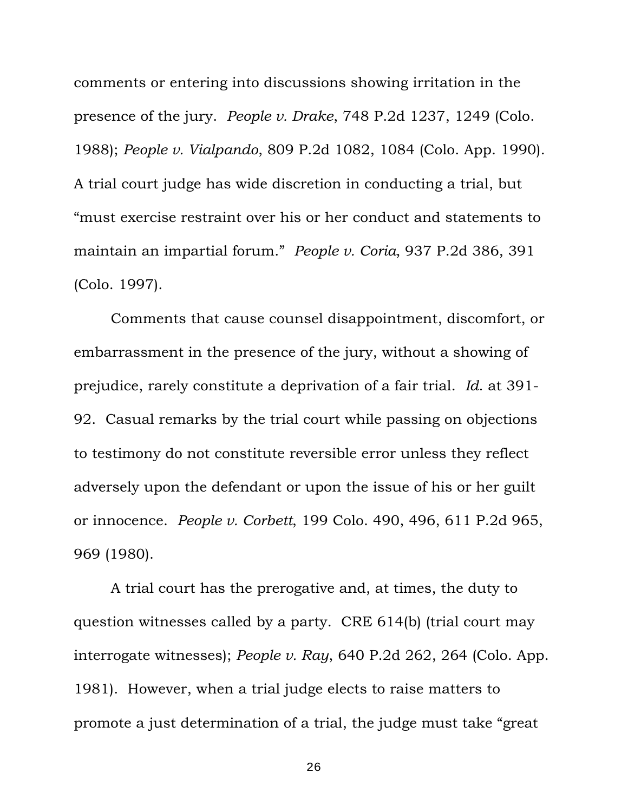comments or entering into discussions showing irritation in the presence of the jury. *People v. Drake*, 748 P.2d 1237, 1249 (Colo. 1988); *People v. Vialpando*, 809 P.2d 1082, 1084 (Colo. App. 1990). A trial court judge has wide discretion in conducting a trial, but "must exercise restraint over his or her conduct and statements to maintain an impartial forum." *People v. Coria*, 937 P.2d 386, 391 (Colo. 1997).

Comments that cause counsel disappointment, discomfort, or embarrassment in the presence of the jury, without a showing of prejudice, rarely constitute a deprivation of a fair trial. *Id*. at 391- 92. Casual remarks by the trial court while passing on objections to testimony do not constitute reversible error unless they reflect adversely upon the defendant or upon the issue of his or her guilt or innocence. *People v. Corbett*, 199 Colo. 490, 496, 611 P.2d 965, 969 (1980).

A trial court has the prerogative and, at times, the duty to question witnesses called by a party. CRE 614(b) (trial court may interrogate witnesses); *People v. Ray*, 640 P.2d 262, 264 (Colo. App. 1981). However, when a trial judge elects to raise matters to promote a just determination of a trial, the judge must take "great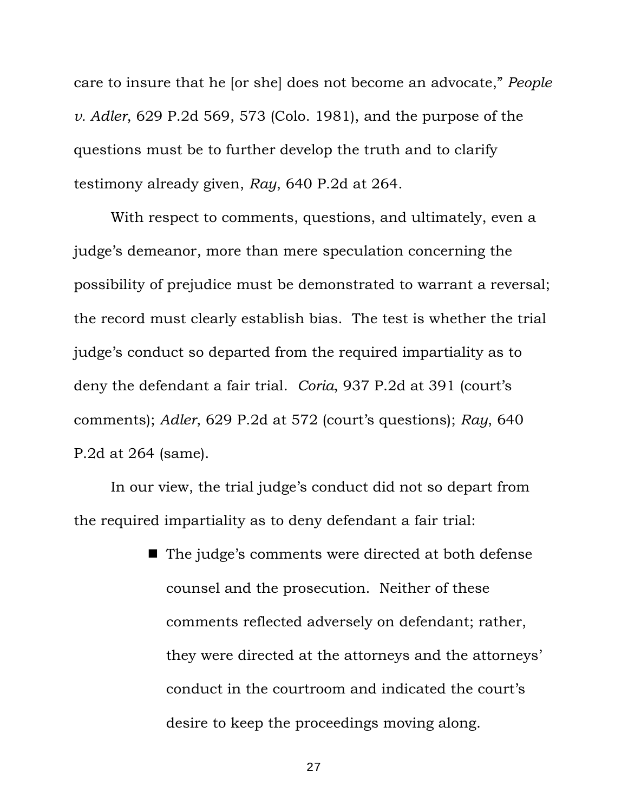care to insure that he [or she] does not become an advocate," *People v. Adler*, 629 P.2d 569, 573 (Colo. 1981), and the purpose of the questions must be to further develop the truth and to clarify testimony already given, *Ray*, 640 P.2d at 264.

With respect to comments, questions, and ultimately, even a judge's demeanor, more than mere speculation concerning the possibility of prejudice must be demonstrated to warrant a reversal; the record must clearly establish bias. The test is whether the trial judge's conduct so departed from the required impartiality as to deny the defendant a fair trial. *Coria*, 937 P.2d at 391 (court's comments); *Adler*, 629 P.2d at 572 (court's questions); *Ray*, 640 P.2d at 264 (same).

In our view, the trial judge's conduct did not so depart from the required impartiality as to deny defendant a fair trial:

> ■ The judge's comments were directed at both defense counsel and the prosecution. Neither of these comments reflected adversely on defendant; rather, they were directed at the attorneys and the attorneys' conduct in the courtroom and indicated the court's desire to keep the proceedings moving along.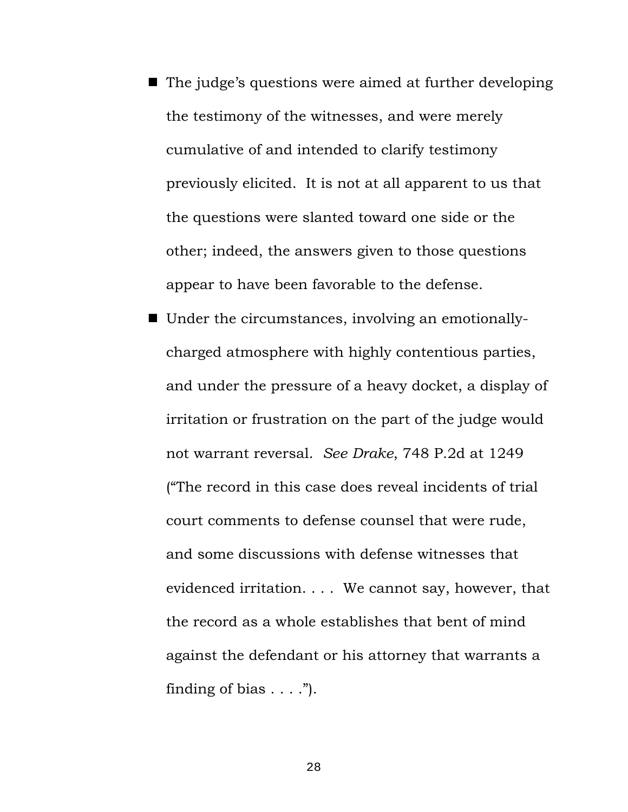- The judge's questions were aimed at further developing the testimony of the witnesses, and were merely cumulative of and intended to clarify testimony previously elicited. It is not at all apparent to us that the questions were slanted toward one side or the other; indeed, the answers given to those questions appear to have been favorable to the defense.
- Under the circumstances, involving an emotionallycharged atmosphere with highly contentious parties, and under the pressure of a heavy docket, a display of irritation or frustration on the part of the judge would not warrant reversal. *See Drake*, 748 P.2d at 1249 ("The record in this case does reveal incidents of trial court comments to defense counsel that were rude, and some discussions with defense witnesses that evidenced irritation. . . . We cannot say, however, that the record as a whole establishes that bent of mind against the defendant or his attorney that warrants a finding of bias  $\dots$ .").